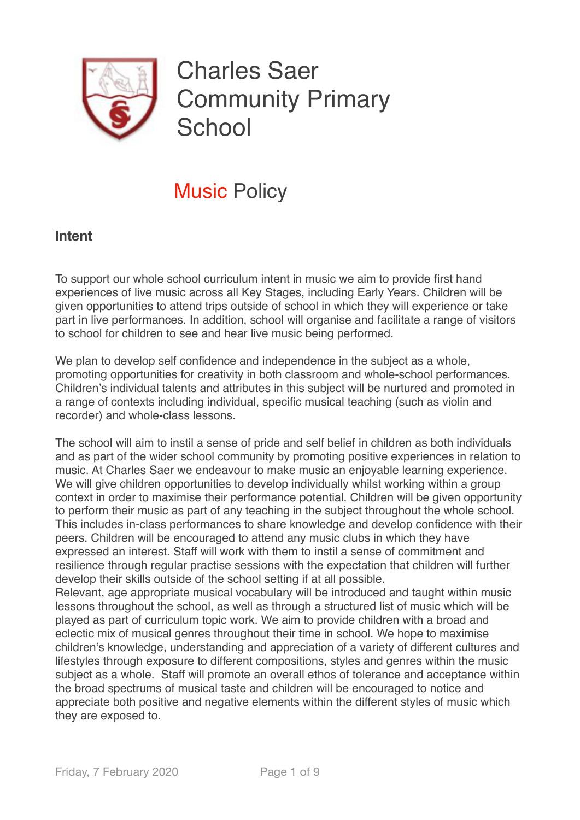

# Charles Saer Community Primary **School**

## Music Policy

## **Intent**

To support our whole school curriculum intent in music we aim to provide first hand experiences of live music across all Key Stages, including Early Years. Children will be given opportunities to attend trips outside of school in which they will experience or take part in live performances. In addition, school will organise and facilitate a range of visitors to school for children to see and hear live music being performed.

We plan to develop self confidence and independence in the subject as a whole, promoting opportunities for creativity in both classroom and whole-school performances. Children's individual talents and attributes in this subject will be nurtured and promoted in a range of contexts including individual, specific musical teaching (such as violin and recorder) and whole-class lessons.

The school will aim to instil a sense of pride and self belief in children as both individuals and as part of the wider school community by promoting positive experiences in relation to music. At Charles Saer we endeavour to make music an enjoyable learning experience. We will give children opportunities to develop individually whilst working within a group context in order to maximise their performance potential. Children will be given opportunity to perform their music as part of any teaching in the subject throughout the whole school. This includes in-class performances to share knowledge and develop confidence with their peers. Children will be encouraged to attend any music clubs in which they have expressed an interest. Staff will work with them to instil a sense of commitment and resilience through regular practise sessions with the expectation that children will further develop their skills outside of the school setting if at all possible.

Relevant, age appropriate musical vocabulary will be introduced and taught within music lessons throughout the school, as well as through a structured list of music which will be played as part of curriculum topic work. We aim to provide children with a broad and eclectic mix of musical genres throughout their time in school. We hope to maximise children's knowledge, understanding and appreciation of a variety of different cultures and lifestyles through exposure to different compositions, styles and genres within the music subject as a whole. Staff will promote an overall ethos of tolerance and acceptance within the broad spectrums of musical taste and children will be encouraged to notice and appreciate both positive and negative elements within the different styles of music which they are exposed to.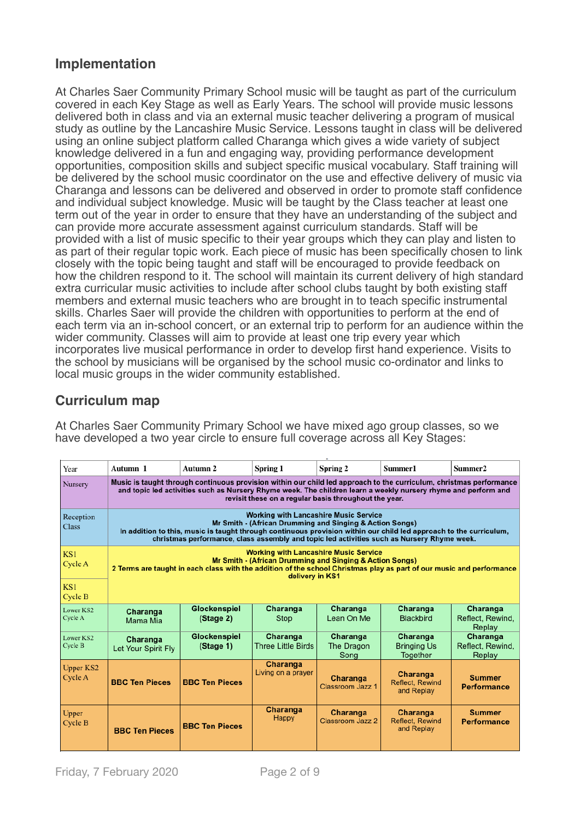## **Implementation**

At Charles Saer Community Primary School music will be taught as part of the curriculum covered in each Key Stage as well as Early Years. The school will provide music lessons delivered both in class and via an external music teacher delivering a program of musical study as outline by the Lancashire Music Service. Lessons taught in class will be delivered using an online subject platform called Charanga which gives a wide variety of subject knowledge delivered in a fun and engaging way, providing performance development opportunities, composition skills and subject specific musical vocabulary. Staff training will be delivered by the school music coordinator on the use and effective delivery of music via Charanga and lessons can be delivered and observed in order to promote staff confidence and individual subject knowledge. Music will be taught by the Class teacher at least one term out of the year in order to ensure that they have an understanding of the subject and can provide more accurate assessment against curriculum standards. Staff will be provided with a list of music specific to their year groups which they can play and listen to as part of their regular topic work. Each piece of music has been specifically chosen to link closely with the topic being taught and staff will be encouraged to provide feedback on how the children respond to it. The school will maintain its current delivery of high standard extra curricular music activities to include after school clubs taught by both existing staff members and external music teachers who are brought in to teach specific instrumental skills. Charles Saer will provide the children with opportunities to perform at the end of each term via an in-school concert, or an external trip to perform for an audience within the wider community. Classes will aim to provide at least one trip every year which incorporates live musical performance in order to develop first hand experience. Visits to the school by musicians will be organised by the school music co-ordinator and links to local music groups in the wider community established.

## **Curriculum map**

At Charles Saer Community Primary School we have mixed ago group classes, so we have developed a two year circle to ensure full coverage across all Key Stages:

| Year                        | Autumn 1                                                                                                                                                                                                                                                                                                                     | Autumn 2                  | Spring 1                              | Spring 2                       | Summer1                                          | Summer <sub>2</sub>                    |  |  |
|-----------------------------|------------------------------------------------------------------------------------------------------------------------------------------------------------------------------------------------------------------------------------------------------------------------------------------------------------------------------|---------------------------|---------------------------------------|--------------------------------|--------------------------------------------------|----------------------------------------|--|--|
| Nursery                     | Music is taught through continuous provision within our child led approach to the curriculum, christmas performance<br>and topic led activities such as Nursery Rhyme week. The children learn a weekly nursery rhyme and perform and<br>revisit these on a regular basis throughout the year.                               |                           |                                       |                                |                                                  |                                        |  |  |
| Reception<br><b>Class</b>   | <b>Working with Lancashire Music Service</b><br>Mr Smith - (African Drumming and Singing & Action Songs)<br>In addition to this, music is taught through continuous provision within our child led approach to the curriculum,<br>christmas performance, class assembly and topic led activities such as Nursery Rhyme week. |                           |                                       |                                |                                                  |                                        |  |  |
| KS1<br>Cycle A              | <b>Working with Lancashire Music Service</b><br>Mr Smith - (African Drumming and Singing & Action Songs)<br>2 Terms are taught in each class with the addition of the school Christmas play as part of our music and performance<br>delivery in KS1                                                                          |                           |                                       |                                |                                                  |                                        |  |  |
| KS1<br>Cycle B              |                                                                                                                                                                                                                                                                                                                              |                           |                                       |                                |                                                  |                                        |  |  |
| Lower KS2<br>Cycle A        | Charanga<br>Mama Mia                                                                                                                                                                                                                                                                                                         | Glockenspiel<br>(Stage 2) | Charanga<br>Stop                      | Charanga<br>Lean On Me         | Charanga<br><b>Blackbird</b>                     | Charanga<br>Reflect, Rewind,<br>Replay |  |  |
| Lower KS2<br>Cycle B        | Charanga<br>Let Your Spirit Fly                                                                                                                                                                                                                                                                                              | Glockenspiel<br>(Stage 1) | Charanga<br><b>Three Little Birds</b> | Charanga<br>The Dragon<br>Song | Charanga<br><b>Bringing Us</b><br>Together       | Charanga<br>Reflect, Rewind,<br>Replay |  |  |
| <b>Upper KS2</b><br>Cycle A | <b>BBC Ten Pieces</b>                                                                                                                                                                                                                                                                                                        | <b>BBC Ten Pieces</b>     | Charanga<br>Living on a prayer        | Charanga<br>Classroom Jazz 1   | Charanga<br><b>Reflect, Rewind</b><br>and Replay | <b>Summer</b><br><b>Performance</b>    |  |  |
| Upper<br>Cycle B            | <b>BBC Ten Pieces</b>                                                                                                                                                                                                                                                                                                        | <b>BBC Ten Pieces</b>     | Charanga<br>Happy                     | Charanga<br>Classroom Jazz 2   | Charanga<br><b>Reflect, Rewind</b><br>and Replay | <b>Summer</b><br><b>Performance</b>    |  |  |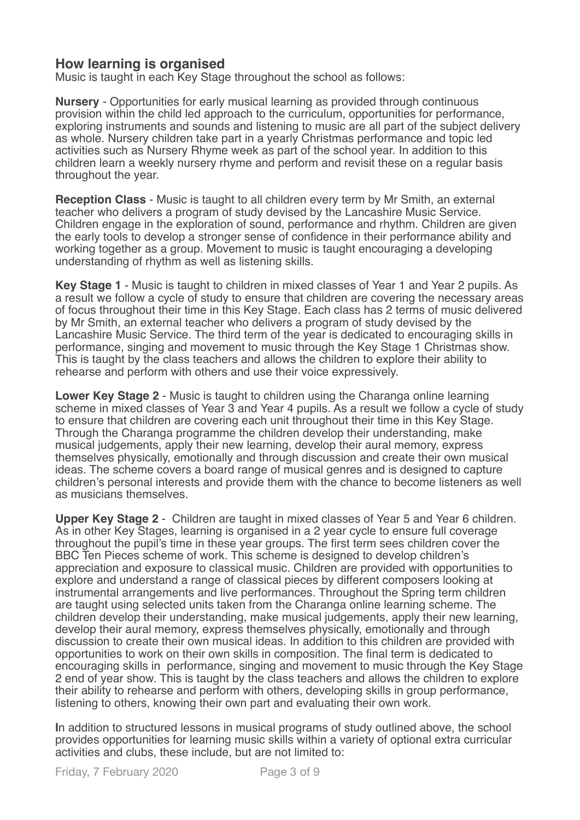## **How learning is organised**

Music is taught in each Key Stage throughout the school as follows:

**Nursery** - Opportunities for early musical learning as provided through continuous provision within the child led approach to the curriculum, opportunities for performance, exploring instruments and sounds and listening to music are all part of the subject delivery as whole. Nursery children take part in a yearly Christmas performance and topic led activities such as Nursery Rhyme week as part of the school year. In addition to this children learn a weekly nursery rhyme and perform and revisit these on a regular basis throughout the year.

**Reception Class** - Music is taught to all children every term by Mr Smith, an external teacher who delivers a program of study devised by the Lancashire Music Service. Children engage in the exploration of sound, performance and rhythm. Children are given the early tools to develop a stronger sense of confidence in their performance ability and working together as a group. Movement to music is taught encouraging a developing understanding of rhythm as well as listening skills.

**Key Stage 1** - Music is taught to children in mixed classes of Year 1 and Year 2 pupils. As a result we follow a cycle of study to ensure that children are covering the necessary areas of focus throughout their time in this Key Stage. Each class has 2 terms of music delivered by Mr Smith, an external teacher who delivers a program of study devised by the Lancashire Music Service. The third term of the year is dedicated to encouraging skills in performance, singing and movement to music through the Key Stage 1 Christmas show. This is taught by the class teachers and allows the children to explore their ability to rehearse and perform with others and use their voice expressively.

**Lower Key Stage 2** - Music is taught to children using the Charanga online learning scheme in mixed classes of Year 3 and Year 4 pupils. As a result we follow a cycle of study to ensure that children are covering each unit throughout their time in this Key Stage. Through the Charanga programme the children develop their understanding, make musical judgements, apply their new learning, develop their aural memory, express themselves physically, emotionally and through discussion and create their own musical ideas. The scheme covers a board range of musical genres and is designed to capture children's personal interests and provide them with the chance to become listeners as well as musicians themselves.

**Upper Key Stage 2** - Children are taught in mixed classes of Year 5 and Year 6 children. As in other Key Stages, learning is organised in a 2 year cycle to ensure full coverage throughout the pupil's time in these year groups. The first term sees children cover the BBC Ten Pieces scheme of work. This scheme is designed to develop children's appreciation and exposure to classical music. Children are provided with opportunities to explore and understand a range of classical pieces by different composers looking at instrumental arrangements and live performances. Throughout the Spring term children are taught using selected units taken from the Charanga online learning scheme. The children develop their understanding, make musical judgements, apply their new learning, develop their aural memory, express themselves physically, emotionally and through discussion to create their own musical ideas. In addition to this children are provided with opportunities to work on their own skills in composition. The final term is dedicated to encouraging skills in performance, singing and movement to music through the Key Stage 2 end of year show. This is taught by the class teachers and allows the children to explore their ability to rehearse and perform with others, developing skills in group performance, listening to others, knowing their own part and evaluating their own work.

**I**n addition to structured lessons in musical programs of study outlined above, the school provides opportunities for learning music skills within a variety of optional extra curricular activities and clubs, these include, but are not limited to: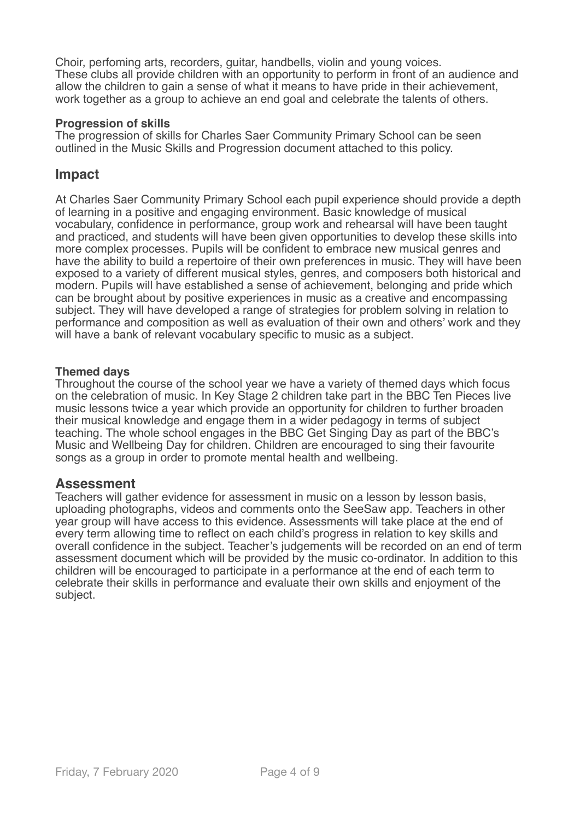Choir, perfoming arts, recorders, guitar, handbells, violin and young voices. These clubs all provide children with an opportunity to perform in front of an audience and allow the children to gain a sense of what it means to have pride in their achievement, work together as a group to achieve an end goal and celebrate the talents of others.

#### **Progression of skills**

The progression of skills for Charles Saer Community Primary School can be seen outlined in the Music Skills and Progression document attached to this policy.

#### **Impact**

At Charles Saer Community Primary School each pupil experience should provide a depth of learning in a positive and engaging environment. Basic knowledge of musical vocabulary, confidence in performance, group work and rehearsal will have been taught and practiced, and students will have been given opportunities to develop these skills into more complex processes. Pupils will be confident to embrace new musical genres and have the ability to build a repertoire of their own preferences in music. They will have been exposed to a variety of different musical styles, genres, and composers both historical and modern. Pupils will have established a sense of achievement, belonging and pride which can be brought about by positive experiences in music as a creative and encompassing subject. They will have developed a range of strategies for problem solving in relation to performance and composition as well as evaluation of their own and others' work and they will have a bank of relevant vocabulary specific to music as a subject.

#### **Themed days**

Throughout the course of the school year we have a variety of themed days which focus on the celebration of music. In Key Stage 2 children take part in the BBC Ten Pieces live music lessons twice a year which provide an opportunity for children to further broaden their musical knowledge and engage them in a wider pedagogy in terms of subject teaching. The whole school engages in the BBC Get Singing Day as part of the BBC's Music and Wellbeing Day for children. Children are encouraged to sing their favourite songs as a group in order to promote mental health and wellbeing.

#### **Assessment**

Teachers will gather evidence for assessment in music on a lesson by lesson basis, uploading photographs, videos and comments onto the SeeSaw app. Teachers in other year group will have access to this evidence. Assessments will take place at the end of every term allowing time to reflect on each child's progress in relation to key skills and overall confidence in the subject. Teacher's judgements will be recorded on an end of term assessment document which will be provided by the music co-ordinator. In addition to this children will be encouraged to participate in a performance at the end of each term to celebrate their skills in performance and evaluate their own skills and enjoyment of the subject.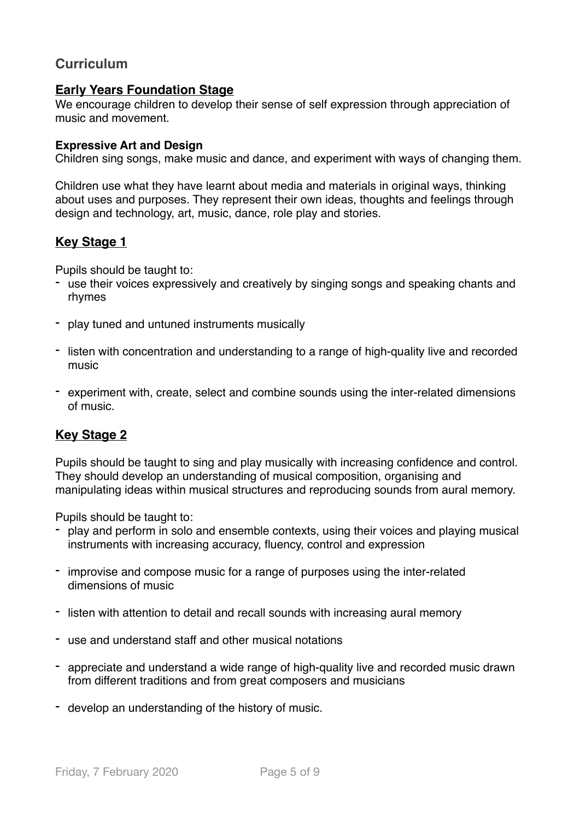## **Curriculum**

#### **Early Years Foundation Stage**

We encourage children to develop their sense of self expression through appreciation of music and movement.

#### **Expressive Art and Design**

Children sing songs, make music and dance, and experiment with ways of changing them.

Children use what they have learnt about media and materials in original ways, thinking about uses and purposes. They represent their own ideas, thoughts and feelings through design and technology, art, music, dance, role play and stories.

#### **Key Stage 1**

Pupils should be taught to:

- use their voices expressively and creatively by singing songs and speaking chants and rhymes
- play tuned and untuned instruments musically
- listen with concentration and understanding to a range of high-quality live and recorded music
- experiment with, create, select and combine sounds using the inter-related dimensions of music.

#### **Key Stage 2**

Pupils should be taught to sing and play musically with increasing confidence and control. They should develop an understanding of musical composition, organising and manipulating ideas within musical structures and reproducing sounds from aural memory.

Pupils should be taught to:

- play and perform in solo and ensemble contexts, using their voices and playing musical instruments with increasing accuracy, fluency, control and expression
- improvise and compose music for a range of purposes using the inter-related dimensions of music
- listen with attention to detail and recall sounds with increasing aural memory
- use and understand staff and other musical notations
- appreciate and understand a wide range of high-quality live and recorded music drawn from different traditions and from great composers and musicians
- develop an understanding of the history of music.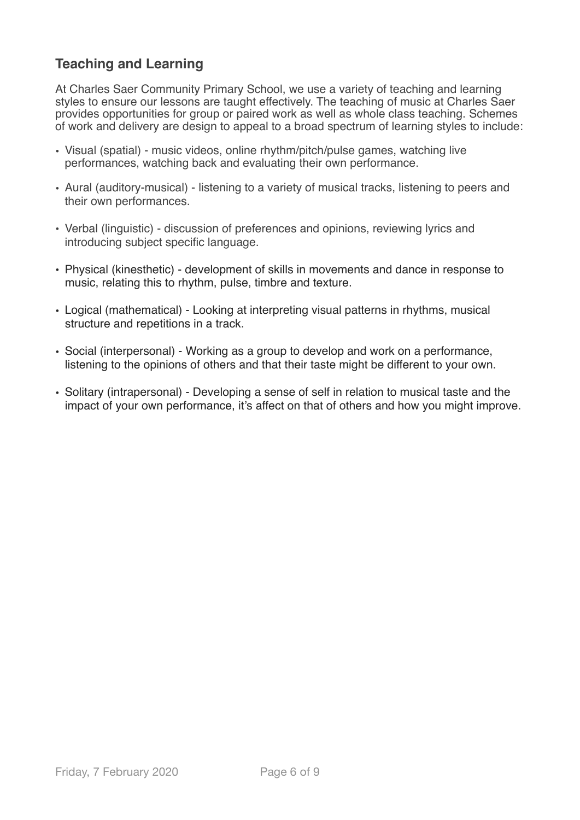## **Teaching and Learning**

At Charles Saer Community Primary School, we use a variety of teaching and learning styles to ensure our lessons are taught effectively. The teaching of music at Charles Saer provides opportunities for group or paired work as well as whole class teaching. Schemes of work and delivery are design to appeal to a broad spectrum of learning styles to include:

- Visual (spatial) music videos, online rhythm/pitch/pulse games, watching live performances, watching back and evaluating their own performance.
- Aural (auditory-musical) listening to a variety of musical tracks, listening to peers and their own performances.
- Verbal (linguistic) discussion of preferences and opinions, reviewing lyrics and introducing subject specific language.
- Physical (kinesthetic) development of skills in movements and dance in response to music, relating this to rhythm, pulse, timbre and texture.
- Logical (mathematical) Looking at interpreting visual patterns in rhythms, musical structure and repetitions in a track.
- Social (interpersonal) Working as a group to develop and work on a performance, listening to the opinions of others and that their taste might be different to your own.
- Solitary (intrapersonal) Developing a sense of self in relation to musical taste and the impact of your own performance, it's affect on that of others and how you might improve.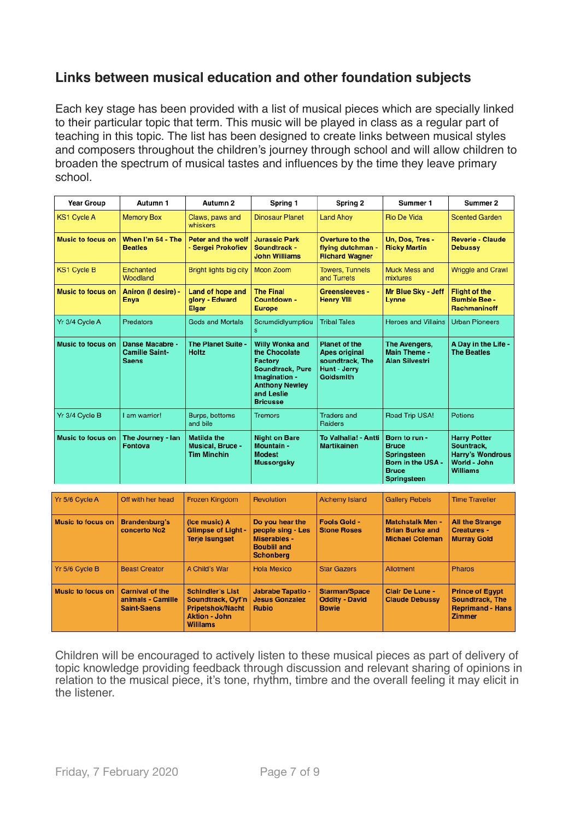## **Links between musical education and other foundation subjects**

Each key stage has been provided with a list of musical pieces which are specially linked to their particular topic that term. This music will be played in class as a regular part of teaching in this topic. The list has been designed to create links between musical styles and composers throughout the children's journey through school and will allow children to broaden the spectrum of musical tastes and influences by the time they leave primary school.

| <b>Year Group</b>        | Autumn 1                                                 | Autumn 2                                                     | Spring 1                                                                                                                                          | Spring 2                                                                                     | Summer 1                                                                                                       | Summer 2                                                                                        |
|--------------------------|----------------------------------------------------------|--------------------------------------------------------------|---------------------------------------------------------------------------------------------------------------------------------------------------|----------------------------------------------------------------------------------------------|----------------------------------------------------------------------------------------------------------------|-------------------------------------------------------------------------------------------------|
| <b>KS1 Cycle A</b>       | <b>Memory Box</b>                                        | Claws, paws and<br>whiskers                                  | <b>Dinosaur Planet</b>                                                                                                                            | <b>Land Ahoy</b>                                                                             | Rio De Vida                                                                                                    | <b>Scented Garden</b>                                                                           |
| <b>Music to focus on</b> | When I'm 64 - The<br><b>Beatles</b>                      | Peter and the wolf<br>- Sergei Prokofiev                     | <b>Jurassic Park</b><br>Soundtrack -<br><b>John Williams</b>                                                                                      | Overture to the<br>flying dutchman -<br><b>Richard Wagner</b>                                | Un. Dos. Tres -<br><b>Ricky Martin</b>                                                                         | <b>Reverie - Claude</b><br><b>Debussy</b>                                                       |
| <b>KS1 Cycle B</b>       | Enchanted<br>Woodland                                    | Bright lights big city                                       | Moon Zoom                                                                                                                                         | <b>Towers, Tunnels</b><br>and Turrets                                                        | Muck Mess and<br>mixtures                                                                                      | <b>Wriggle and Crawl</b>                                                                        |
| <b>Music to focus on</b> | Aniron (I desire) -<br><b>Enva</b>                       | Land of hope and<br>glory - Edward<br>Elgar                  | <b>The Final</b><br>Countdown -<br><b>Europe</b>                                                                                                  | <b>Greensleeves -</b><br><b>Henry VIII</b>                                                   | Mr Blue Sky - Jeff<br>Lynne                                                                                    | <b>Flight of the</b><br><b>Bumble Bee -</b><br>Rachmaninoff                                     |
| Yr 3/4 Cycle A           | Predators                                                | <b>Gods and Mortals</b>                                      | Scrumdidlyumptiou<br>s                                                                                                                            | <b>Tribal Tales</b>                                                                          | <b>Heroes and Villains</b>                                                                                     | <b>Urban Pioneers</b>                                                                           |
| <b>Music to focus on</b> | Danse Macabre -<br><b>Camille Saint-</b><br><b>Saens</b> | The Planet Suite -<br><b>Holtz</b>                           | Willy Wonka and<br>the Chocolate<br>Factory<br><b>Soundtrack, Pure</b><br>Imagination -<br><b>Anthony Newley</b><br>and Leslie<br><b>Bricusse</b> | <b>Planet of the</b><br><b>Apes original</b><br>soundtrack, The<br>Hunt - Jerry<br>Goldsmith | The Avengers,<br>Main Theme -<br><b>Alan Silvestri</b>                                                         | A Day in the Life -<br><b>The Beatles</b>                                                       |
| Yr 3/4 Cycle B           | I am warrior!                                            | Burps, bottoms<br>and bile                                   | <b>Tremors</b>                                                                                                                                    | <b>Traders and</b><br><b>Raiders</b>                                                         | Road Trip USA!                                                                                                 | Potions                                                                                         |
| <b>Music to focus on</b> | The Journey - lan<br><b>Fontova</b>                      | <b>Matilda the</b><br>Musical, Bruce -<br><b>Tim Minchin</b> | <b>Night on Bare</b><br>Mountain -<br><b>Modest</b><br><b>Mussorgsky</b>                                                                          | To Valhalla! - Antti<br><b>Martikainen</b>                                                   | Born to run -<br><b>Bruce</b><br><b>Springsteen</b><br>Born in the USA -<br><b>Bruce</b><br><b>Springsteen</b> | <b>Harry Potter</b><br>Sountrack,<br><b>Harry's Wondrous</b><br>World - John<br><b>Williams</b> |

| Yr 5/6 Cycle A           | Off with her head                                                 | <b>Frozen Kingdom</b>                                                                                             | Revolution                                                                                     | Alchemy Island                                                | <b>Gallery Rebels</b>                                                       | <b>Time Traveller</b>                                                                        |
|--------------------------|-------------------------------------------------------------------|-------------------------------------------------------------------------------------------------------------------|------------------------------------------------------------------------------------------------|---------------------------------------------------------------|-----------------------------------------------------------------------------|----------------------------------------------------------------------------------------------|
| <b>Music to focus on</b> | <b>Brandenburg's</b><br>concerto No <sub>2</sub>                  | (Ice music) A<br><b>Glimpse of Light -</b><br><b>Terje Isungset</b>                                               | Do you hear the<br>people sing - Les<br>Miserables -<br><b>Boublil and</b><br><b>Schonberg</b> | <b>Fools Gold -</b><br><b>Stone Roses</b>                     | <b>Matchstalk Men -</b><br><b>Brian Burke and</b><br><b>Michael Coleman</b> | <b>All the Strange</b><br><b>Creatures -</b><br><b>Murray Gold</b>                           |
| Yr 5/6 Cycle B           | <b>Beast Creator</b>                                              | A Child's War                                                                                                     | <b>Hola Mexico</b>                                                                             | <b>Star Gazers</b>                                            | Allotment                                                                   | <b>Pharos</b>                                                                                |
| <b>Music to focus on</b> | <b>Carnival of the</b><br>animals - Camille<br><b>Saint-Saens</b> | <b>Schindler's List</b><br>Soundtrack, Oyf'n<br><b>Pripetshok/Nacht</b><br><b>Aktion - John</b><br><b>Willams</b> | <b>Jabrabe Tapatio -</b><br><b>Jesus Gonzalez</b><br><b>Rubio</b>                              | <b>Starman/Space</b><br><b>Oddity - David</b><br><b>Bowie</b> | <b>Clair De Lune -</b><br><b>Claude Debussy</b>                             | <b>Prince of Eqypt</b><br><b>Soundtrack, The</b><br><b>Reprimand - Hans</b><br><b>Zimmer</b> |

Children will be encouraged to actively listen to these musical pieces as part of delivery of topic knowledge providing feedback through discussion and relevant sharing of opinions in relation to the musical piece, it's tone, rhythm, timbre and the overall feeling it may elicit in the listener.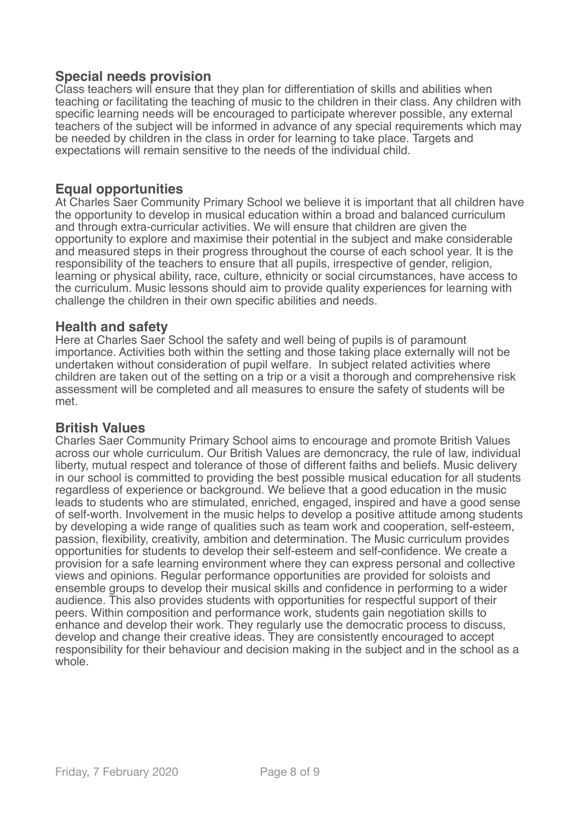## **Special needs provision**

Class teachers will ensure that they plan for differentiation of skills and abilities when teaching or facilitating the teaching of music to the children in their class. Any children with specific learning needs will be encouraged to participate wherever possible, any external teachers of the subject will be informed in advance of any special requirements which may be needed by children in the class in order for learning to take place. Targets and expectations will remain sensitive to the needs of the individual child.

#### **Equal opportunities**

At Charles Saer Community Primary School we believe it is important that all children have the opportunity to develop in musical education within a broad and balanced curriculum and through extra-curricular activities. We will ensure that children are given the opportunity to explore and maximise their potential in the subject and make considerable and measured steps in their progress throughout the course of each school year. It is the responsibility of the teachers to ensure that all pupils, irrespective of gender, religion, learning or physical ability, race, culture, ethnicity or social circumstances, have access to the curriculum. Music lessons should aim to provide quality experiences for learning with challenge the children in their own specific abilities and needs.

#### **Health and safety**

Here at Charles Saer School the safety and well being of pupils is of paramount importance. Activities both within the setting and those taking place externally will not be undertaken without consideration of pupil welfare. In subject related activities where children are taken out of the setting on a trip or a visit a thorough and comprehensive risk assessment will be completed and all measures to ensure the safety of students will be met.

#### **British Values**

Charles Saer Community Primary School aims to encourage and promote British Values across our whole curriculum. Our British Values are demoncracy, the rule of law, individual liberty, mutual respect and tolerance of those of different faiths and beliefs. Music delivery in our school is committed to providing the best possible musical education for all students regardless of experience or background. We believe that a good education in the music leads to students who are stimulated, enriched, engaged, inspired and have a good sense of self-worth. Involvement in the music helps to develop a positive attitude among students by developing a wide range of qualities such as team work and cooperation, self-esteem, passion, flexibility, creativity, ambition and determination. The Music curriculum provides opportunities for students to develop their self-esteem and self-confidence. We create a provision for a safe learning environment where they can express personal and collective views and opinions. Regular performance opportunities are provided for soloists and ensemble groups to develop their musical skills and confidence in performing to a wider audience. This also provides students with opportunities for respectful support of their peers. Within composition and performance work, students gain negotiation skills to enhance and develop their work. They regularly use the democratic process to discuss, develop and change their creative ideas. They are consistently encouraged to accept responsibility for their behaviour and decision making in the subject and in the school as a whole